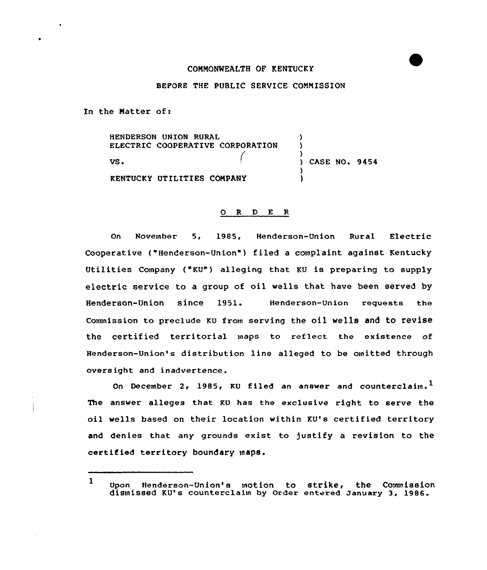# CONNONWEALTH OF KENTUCKY

## BEPORE THE PUBLIC SERVICE CONNISSION

In the Natter of:

HENDERSON UNION RURAL ELECTRIC COOPERATIVE CORPORATION US <sup>~</sup>  $\sum_{i=1}^{n}$ KENTUCKY UTILITIES CONPANY )  $\bigg\}$ CASE NO. 9454 ) )

# $O$  R D E R

On November 5, 1985, Henderson-Union Rural Electric Cooperative ("Henderson-Union") filed a complaint against Kentucky Utilities Company ("KU") alleging that KU is preparing to supply electric service to <sup>a</sup> group of oil wells that have been served by Henderson-Union since 1951. Henderson-Union requests the Commission to preclude KU from serving the oil wells and to revise the certified territorial maps to reflect the existence of Henderson-Union's distribution line alleged to be omitted through overs ight and inadvertence.

On December 2, 1985, KU filed an answer and counterclaim.<sup>1</sup> The answer alleges that KU has the exclusive right to serve the oil wells based on their location within KU's certified territory and denies that any grounds exist to justify a revision to the certified territory boundary maps.

 $\mathbf{1}$ Upon Henderson-Union's motion to strike, the Commission dismissed KU's counterclaim by Order entered January 3, 1986.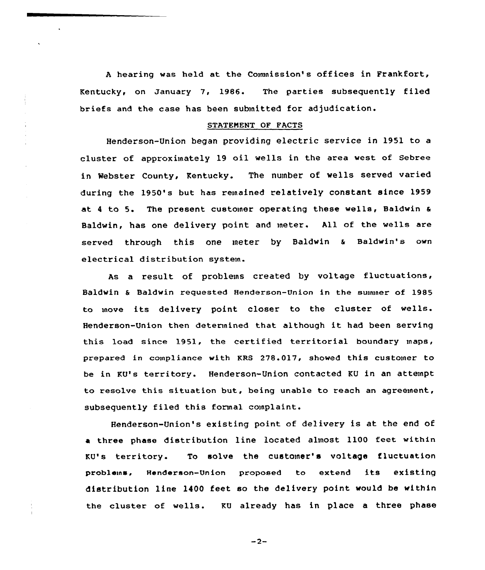A hearing was held at the Commission's offices in Frankfort, Kentucky, on January 7, 1986. The parties subsequently filed briefs and the case has been submitted for adjudication.

#### STATEMENT OF FACTS

Henderson-Union began providing electric service in 1951 to a cluster of approximately 19 oil wells in the area west of Sebree in Webster County, Kentucky. The number of wells served varied during the 1950's but has remained relatively constant since 1959 at <sup>4</sup> to 5. The present customer operating these wells, Baldwin <sup>a</sup> Baldwin, has one delivery point and meter. All of the wells are served through this one meter by Baldwin & Baldwin's own electrical distribution system.

As a result of problems created by voltage fluctuations, Baldwin & Baldwin requested Henderson-Union in the summer of 1985 to move its delivery point closer to the cluster of wells. Henderson-Union then determined that although it had been serving this load since 1951, the certified territorial boundary maps, prepared in compliance with KRS 278.017, showed this customer to be in KU's territory. Henderson-Union contacted KU in an attempt to resolve this situation but, being unable to reach an agreement, subsequently filed this formal complaint.

Henderson-Union's existing point of delivery is at the end of a three phase distribution line located almost 1100 feet within KU's territory. To solve the customer's voltage fluctuation problems, Henderson-Union proposed to extend its existing distribution line 1400 feet so the delivery point would be within the cluster of wells. KU already has in place a three phase

 $-2-$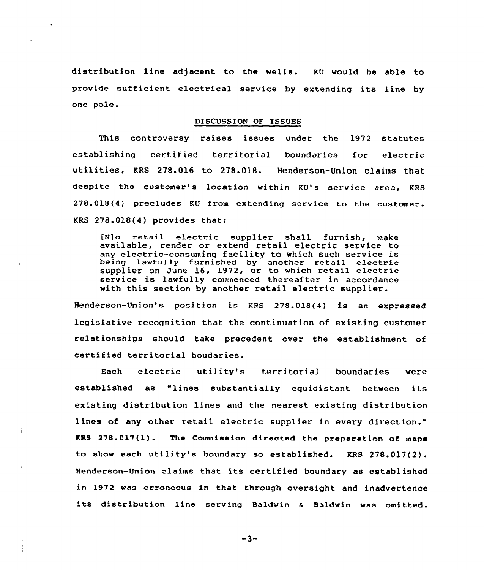distribution line adjacent to the wells. KU would be able to provide sufficient electrical service by extending its line by one pole.

### DISCUSSION OF ISSUES

This controversy raises issues under the 1972 statutes  $\texttt{establishing}$  certified territorial boundaries for electri $\cdot$ utilities, KRS 278.016 to 278.018. Henderson-Union claims that despite the customer's location within KU's service area, KRS 278.018(4) precludes KU from extending service to the customer. KRS 278.018(4) provides that:

[N]o retail electric supplier shall furnish, make available, render or extend retail electric service to any electric-consuming facility to which such service is being lawfully furnished by another retail electric supplier on June 16, 1972, or to which retail electric service is lawfully commenced thereafter in accordance with this section by another retail electric supplier.

Henderson-Union's position is KRS 278.018(4) is an expressed legislative recognition that the continuation of existing customer relationships should take precedent over the establishment of certified territorial boudaries.

Each electric utility's territorial boundaries were established as "lines substantially equidistant between its existing distribution lines and the nearest existing distribution lines of any other retail electric supplier in every direction." KRS 278.017(1). The Commission directed the preparation of maps to show each utility's boundary so established. KRS 278.017(2). Henderson-Union claims that its certified boundary as established in 1972 was erroneous in that through oversight and inadvertence its distribution line serving Baldwin & Baldwin was omitted.

 $-3-$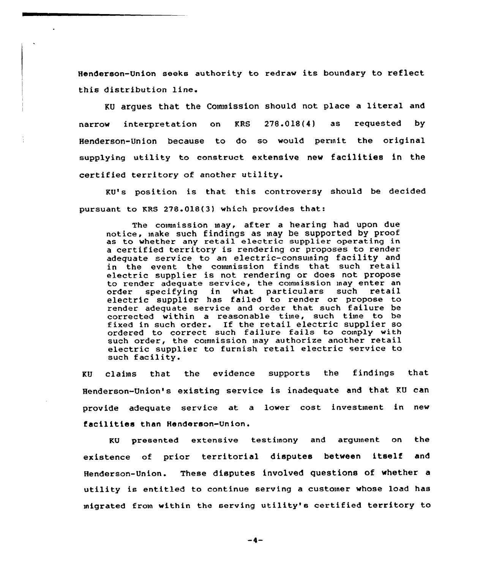Henderson-Union seeks authority to redraw its boundary to reflect this distribution line.

KU argues that the Conunission should not place <sup>a</sup> literal and narrow interpretation on KRS 278.018(4) as requested by Henderson-Union because to do so would permit the original supplying utility to construct extensive new facilities in the certified territory of another utility.

KU's position is that this controversy should be decided pursuant to KRS 278.018(3) which provides that:

The counnission may, after a hearing had upon due notice, make such findings as may be supported by proof as to whether any retail electric supplier operating in <sup>a</sup> certified territory is rendering or proposes to render adequate service to an electric-consuining facility and in the event the commission finds that such retail electric supplier is not rendering or does not propose to render adequate service, the commission may enter an order specifying in what particulars such retail electric supplier has failed to render or propose to render adequate service and order that such failure be corrected within a reasonable time, such time to be<br>fixed in such order. If the retail electric supplier so If the retail electric supplier so ordered to correct such failure fails to comply with such order, the commission may authorize another retail electric supplier to furnish retail electric service to such facility.

KU claims that the evidence supports the findings that Henderson-Union's existing service is inadequate and that KU can provide adequate service at a lower cost investment in new facilities than Henderson-Union.

KU presented extensive testimony and argument on the existence of prior territorial disputes between itself and Henderson-Union. These disputes involved questions of whether a utility is entitled to continue serving a customer whose load has migrated from within the serving utility's certified territory to

 $-4-$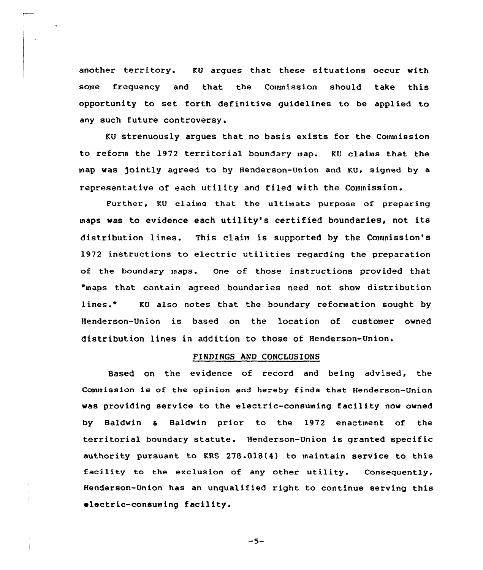another territory. KU argues that these situations occur with some frequency and that the Cownission should take this opportunity to set forth definitive guidelines to be applied to any such future controversy.

KU strenuously argues that no basis exists for the Commission to reform the 1972 territorial boundary map. KU claims that the map was jointly agreed to by Henderson-Union and KU, signed by a representative of each utility and filed with the Commission.

Further, KU claims that the ultimate purpose of preparing maps was to evidence each utility's certified boundaries, not its distribution lines. This claim is supported by the Commission's 1972 instructions to electric utilities regarding the preparation of the boundary maps. Qne of those instructions provided that 'maps that contain agreed boundaries need not show distribution lines." KU also notes that the boundary reformation sought by Henderson-Union is based on the location of customer owned distribution lines in addition to those of Henderson-Union.

## FINDINGS AND CONCLUSIONS

Based on the evidence of record and being advised, the Cownission is of the opinion and hereby finds that Henderson-Union was providing service to the electric-consuming facility now owned by Baldwin & Baldwin prior to the 1972 enactment of the territorial boundary statute. Henderson-Union is granted specific authority pursuant to KRS 278.018(4) to maintain service to this facility to the exclusion of any other utility. Consequently, Henderson-Union has an unqualified right to continue serving this electric-consuming facility.

 $-5-$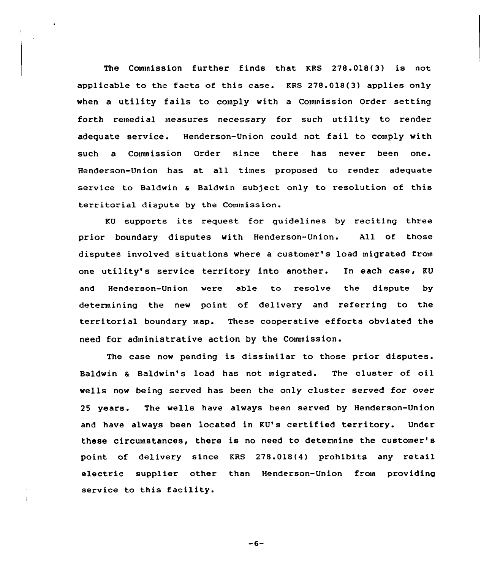The Commission further finds that KRS 278.018(3) is not applicable to the facts of this case. KRS 278.018(3) applies only when <sup>a</sup> utility fails to comply with <sup>a</sup> Commission Order setting forth remedial measures necessary for such utility to render adequate service. Henderson-Union could not fail to comply with such a Commission Order since there has never been one. Henderson-Union has at all times proposed to render adequate service to Baldwin & Baldwin subject only to resolution of this territorial dispute by the Conunission.

KU supports its request for guidelines by reciting three prior boundary disputes with Henderson-Union. All of those disputes involved situations where a customer's load migrated from one utility's service territory into another. In each case, KU and Henderson-Union were able to resolve the dispute by determining the new point of delivery and referring to the territorial boundary map. These cooperative efforts obviated the need for administrative action by the Conunission.

The case now pending is dissimilar to those prior disputes. Baldwin <sup>6</sup> Baldwin's load has not migrated. The cluster of oil wells now being served has been the only cluster served for over 25 years. The wells have always been served by Henderson-Union and have always been located in KU's certified territory. Under these circumstances, there is no need to determine the customer' point of delivery since KRS 278.018(4) prohibits any retail electric supplier other than Henderson-Union from providing service to this facility.

 $-6-$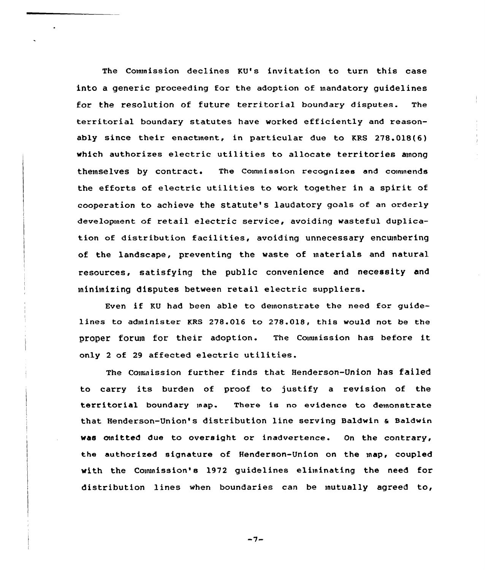The Commission declines KU's invitation to turn this case into a generic proceeding for the adoption of mandatory guidelines for the resolution of future territorial boundary disputes. The territorial boundary statutes have worked efficiently and reasonably since their enactment, in particular due to KRS 278.018(6) which authorizes electric utilities to allocate territories among themselves by contract. The Commission recognizes and commends the efforts of electric utilities to work together in <sup>a</sup> spirit of cooperation to achieve the statute's laudatory goals of an orderly development of retail electric service, avoiding wasteful duplication of distribution facilities, avoiding unnecessary encumbering of the landscape, preventing the waste of materials and natural resources, satisfying the public convenience and necessity and minimizing disputes between retail electric suppliers.

Even if KU had been able to demonstrate the need for guidelines to administer KRS 278.016 to 278.018, this would not be the proper forum for their adoption. The commission has before it only <sup>2</sup> of <sup>29</sup> affected electric utilities.

The Commission further finds that Henderson-Union has failed to carry its burden of proof to justify <sup>a</sup> revision of the territorial boundary map. There is no evidence to demonstrate that Henderson-Union's distribution line serving Baldwin <sup>a</sup> saldwin was omitted due to oversight or inadvertence. On the contrary, the authorized signature of Henderson-Union on the map, coupled with the Commission's 1972 guidelines eliminating the need for distribution lines when boundaries can be mutually agreed to,

 $-7-$